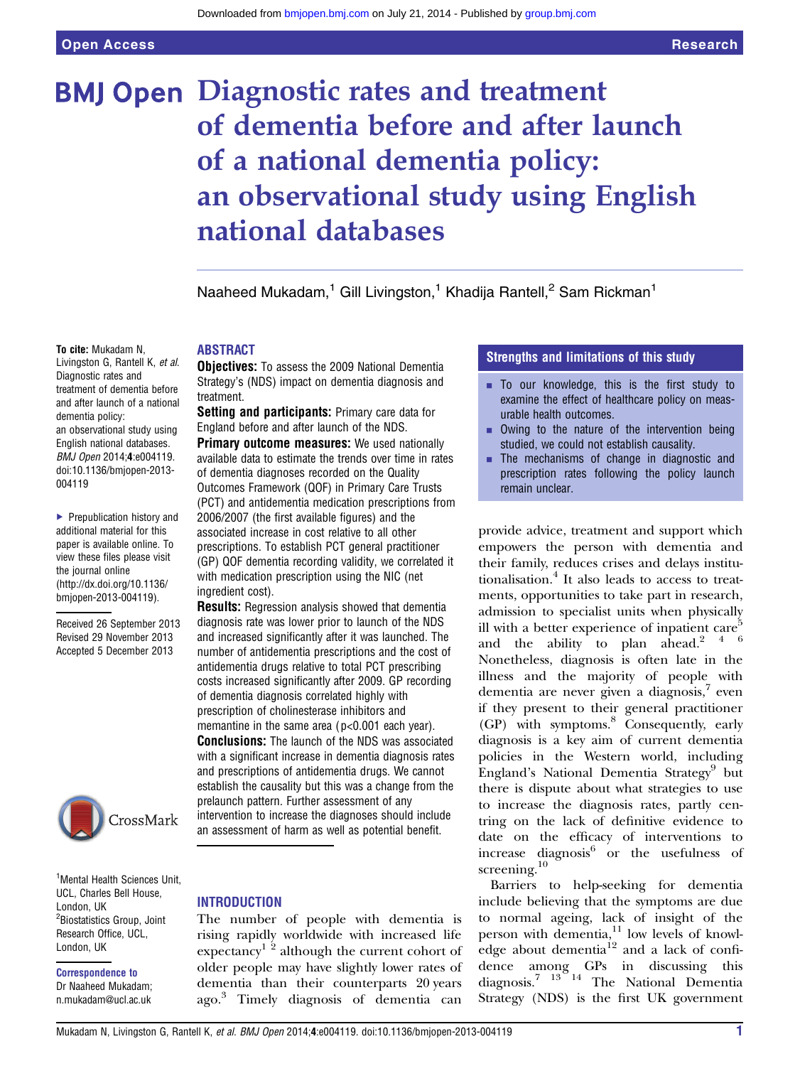# **BMJ Open Diagnostic rates and treatment** of dementia before and after launch of a national dementia policy: an observational study using English national databases

Naaheed Mukadam,<sup>1</sup> Gill Livingston,<sup>1</sup> Khadija Rantell,<sup>2</sup> Sam Rickman<sup>1</sup>

#### To cite: Mukadam N,

Livingston G, Rantell K, et al. Diagnostic rates and treatment of dementia before and after launch of a national dementia policy: an observational study using English national databases. BMJ Open 2014;4:e004119. doi:10.1136/bmjopen-2013- 004119

▶ Prepublication history and additional material for this paper is available online. To view these files please visit the journal online [\(http://dx.doi.org/10.1136/](http://dx.doi.org/10.1136/bmjopen-2013-004119) [bmjopen-2013-004119](http://dx.doi.org/10.1136/bmjopen-2013-004119)).

Received 26 September 2013 Revised 29 November 2013 Accepted 5 December 2013



<sup>1</sup> Mental Health Sciences Unit, UCL, Charles Bell House, London, UK <sup>2</sup> Biostatistics Group, Joint Research Office, UCL, London, UK

Correspondence to Dr Naaheed Mukadam; n.mukadam@ucl.ac.uk

# ABSTRACT

**Objectives:** To assess the 2009 National Dementia Strategy's (NDS) impact on dementia diagnosis and treatment.

Setting and participants: Primary care data for England before and after launch of the NDS. **Primary outcome measures:** We used nationally available data to estimate the trends over time in rates of dementia diagnoses recorded on the Quality Outcomes Framework (QOF) in Primary Care Trusts (PCT) and antidementia medication prescriptions from 2006/2007 (the first available figures) and the associated increase in cost relative to all other prescriptions. To establish PCT general practitioner (GP) QOF dementia recording validity, we correlated it with medication prescription using the NIC (net ingredient cost).

**Results:** Regression analysis showed that dementia diagnosis rate was lower prior to launch of the NDS and increased significantly after it was launched. The number of antidementia prescriptions and the cost of antidementia drugs relative to total PCT prescribing costs increased significantly after 2009. GP recording of dementia diagnosis correlated highly with prescription of cholinesterase inhibitors and memantine in the same area (p<0.001 each year). **Conclusions:** The launch of the NDS was associated with a significant increase in dementia diagnosis rates and prescriptions of antidementia drugs. We cannot establish the causality but this was a change from the prelaunch pattern. Further assessment of any intervention to increase the diagnoses should include an assessment of harm as well as potential benefit.

# **INTRODUCTION**

The number of people with dementia is rising rapidly worldwide with increased life expectancy<sup>1  $\frac{2}{3}$ </sup> although the current cohort of older people may have slightly lower rates of dementia than their counterparts 20 years ago.<sup>3</sup> Timely diagnosis of dementia can

# Strengths and limitations of this study

- To our knowledge, this is the first study to examine the effect of healthcare policy on measurable health outcomes.
- $\blacksquare$  Owing to the nature of the intervention being studied, we could not establish causality.
- $\blacksquare$  The mechanisms of change in diagnostic and prescription rates following the policy launch remain unclear.

provide advice, treatment and support which empowers the person with dementia and their family, reduces crises and delays institutionalisation. $4$  It also leads to access to treatments, opportunities to take part in research, admission to specialist units when physically ill with a better experience of inpatient care<sup>5</sup> and the ability to plan ahead.<sup>246</sup> Nonetheless, diagnosis is often late in the illness and the majority of people with dementia are never given a diagnosis, $\epsilon$  even if they present to their general practitioner (GP) with symptoms.<sup>8</sup> Consequently, early diagnosis is a key aim of current dementia policies in the Western world, including England's National Dementia Strategy<sup>9</sup> but there is dispute about what strategies to use to increase the diagnosis rates, partly centring on the lack of definitive evidence to date on the efficacy of interventions to  $increase$  diagnosis $<sup>6</sup>$  or the usefulness of</sup> screening.<sup>10</sup>

Barriers to help-seeking for dementia include believing that the symptoms are due to normal ageing, lack of insight of the person with dementia,<sup>11</sup> low levels of knowledge about dementia<sup>12</sup> and a lack of confidence among GPs in discussing this diagnosis.<sup>7</sup> <sup>13</sup> <sup>14</sup> The National Dementia Strategy (NDS) is the first UK government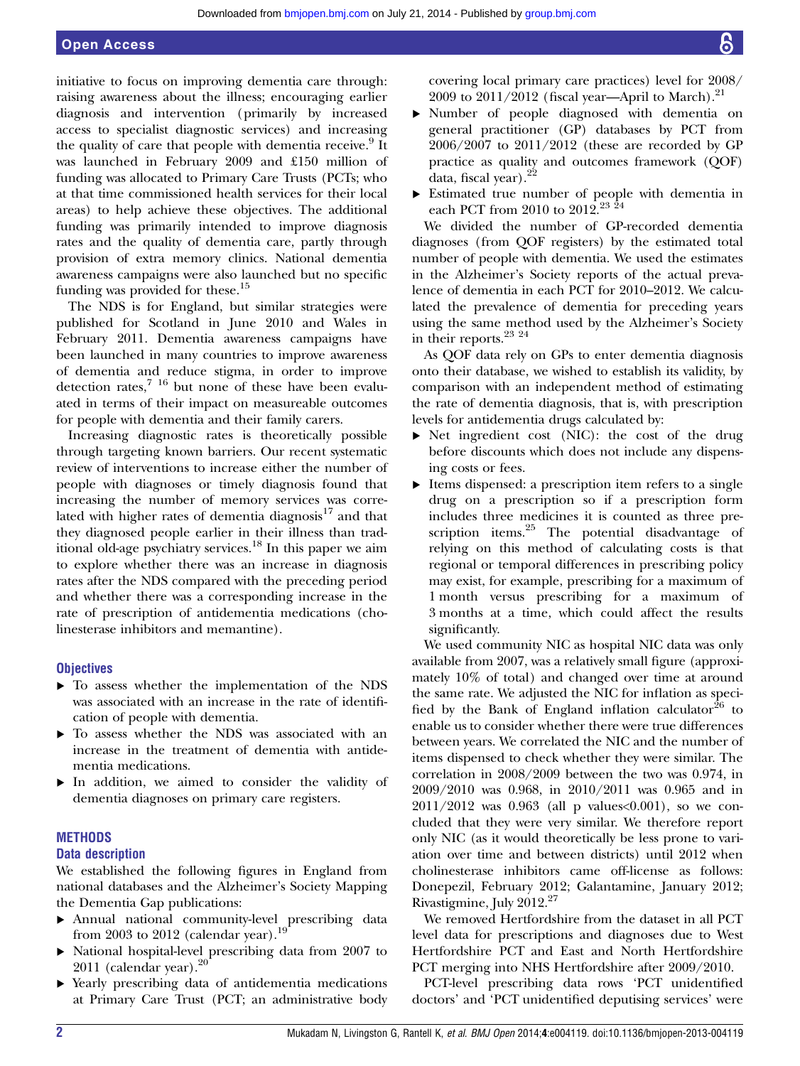initiative to focus on improving dementia care through: raising awareness about the illness; encouraging earlier diagnosis and intervention (primarily by increased access to specialist diagnostic services) and increasing the quality of care that people with dementia receive.<sup>9</sup> It was launched in February 2009 and £150 million of funding was allocated to Primary Care Trusts (PCTs; who at that time commissioned health services for their local areas) to help achieve these objectives. The additional funding was primarily intended to improve diagnosis rates and the quality of dementia care, partly through provision of extra memory clinics. National dementia awareness campaigns were also launched but no specific funding was provided for these.<sup>15</sup>

The NDS is for England, but similar strategies were published for Scotland in June 2010 and Wales in February 2011. Dementia awareness campaigns have been launched in many countries to improve awareness of dementia and reduce stigma, in order to improve detection rates, $7^{16}$  but none of these have been evaluated in terms of their impact on measureable outcomes for people with dementia and their family carers.

Increasing diagnostic rates is theoretically possible through targeting known barriers. Our recent systematic review of interventions to increase either the number of people with diagnoses or timely diagnosis found that increasing the number of memory services was correlated with higher rates of dementia diagnosis $17$  and that they diagnosed people earlier in their illness than traditional old-age psychiatry services.<sup>18</sup> In this paper we aim to explore whether there was an increase in diagnosis rates after the NDS compared with the preceding period and whether there was a corresponding increase in the rate of prescription of antidementia medications (cholinesterase inhibitors and memantine).

# **Objectives**

- ▸ To assess whether the implementation of the NDS was associated with an increase in the rate of identification of people with dementia.
- ▸ To assess whether the NDS was associated with an increase in the treatment of dementia with antidementia medications.
- ▸ In addition, we aimed to consider the validity of dementia diagnoses on primary care registers.

#### **METHODS**

# Data description

We established the following figures in England from national databases and the Alzheimer's Society Mapping the Dementia Gap publications:

- ▸ Annual national community-level prescribing data from 2003 to 2012 (calendar year).<sup>19</sup>
- ▸ National hospital-level prescribing data from 2007 to 2011 (calendar year). $20^{\circ}$
- ▸ Yearly prescribing data of antidementia medications at Primary Care Trust (PCT; an administrative body

covering local primary care practices) level for 2008/ 2009 to  $2011/2012$  (fiscal year—April to March).<sup>21</sup>

- ▸ Number of people diagnosed with dementia on general practitioner (GP) databases by PCT from 2006/2007 to 2011/2012 (these are recorded by GP practice as quality and outcomes framework (QOF) data, fiscal year). $2^2$
- ▸ Estimated true number of people with dementia in each PCT from 2010 to  $2012^{23}$   $^{24}$

We divided the number of GP-recorded dementia diagnoses (from QOF registers) by the estimated total number of people with dementia. We used the estimates in the Alzheimer's Society reports of the actual prevalence of dementia in each PCT for 2010–2012. We calculated the prevalence of dementia for preceding years using the same method used by the Alzheimer's Society in their reports.<sup>23</sup> <sup>24</sup>

As QOF data rely on GPs to enter dementia diagnosis onto their database, we wished to establish its validity, by comparison with an independent method of estimating the rate of dementia diagnosis, that is, with prescription levels for antidementia drugs calculated by:

- ▸ Net ingredient cost (NIC): the cost of the drug before discounts which does not include any dispensing costs or fees.
- ▸ Items dispensed: a prescription item refers to a single drug on a prescription so if a prescription form includes three medicines it is counted as three prescription items.<sup>25</sup> The potential disadvantage of relying on this method of calculating costs is that regional or temporal differences in prescribing policy may exist, for example, prescribing for a maximum of 1 month versus prescribing for a maximum of 3 months at a time, which could affect the results significantly.

We used community NIC as hospital NIC data was only available from 2007, was a relatively small figure (approximately 10% of total) and changed over time at around the same rate. We adjusted the NIC for inflation as specified by the Bank of England inflation calculator $^{26}$  to enable us to consider whether there were true differences between years. We correlated the NIC and the number of items dispensed to check whether they were similar. The correlation in 2008/2009 between the two was 0.974, in 2009/2010 was 0.968, in 2010/2011 was 0.965 and in 2011/2012 was 0.963 (all p values<0.001), so we concluded that they were very similar. We therefore report only NIC (as it would theoretically be less prone to variation over time and between districts) until 2012 when cholinesterase inhibitors came off-license as follows: Donepezil, February 2012; Galantamine, January 2012; Rivastigmine, July 2012.27

We removed Hertfordshire from the dataset in all PCT level data for prescriptions and diagnoses due to West Hertfordshire PCT and East and North Hertfordshire PCT merging into NHS Hertfordshire after 2009/2010.

PCT-level prescribing data rows 'PCT unidentified doctors' and 'PCT unidentified deputising services' were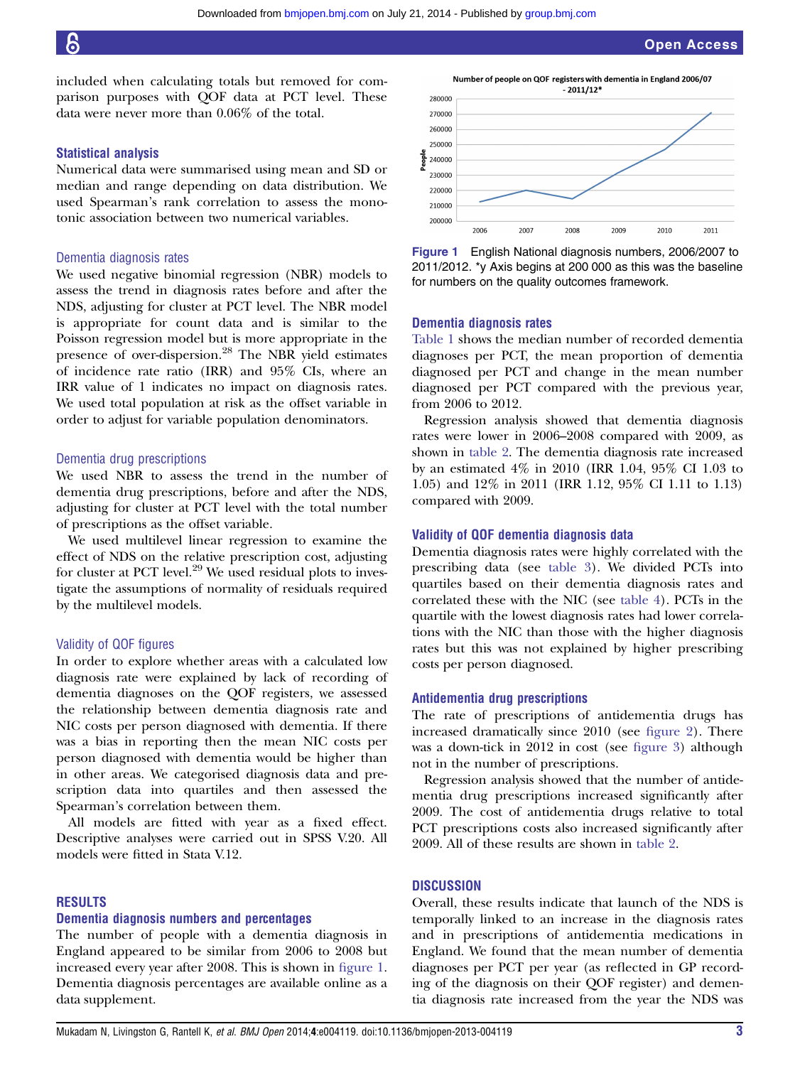included when calculating totals but removed for comparison purposes with QOF data at PCT level. These data were never more than 0.06% of the total.

# Statistical analysis

Numerical data were summarised using mean and SD or median and range depending on data distribution. We used Spearman's rank correlation to assess the monotonic association between two numerical variables.

# Dementia diagnosis rates

We used negative binomial regression (NBR) models to assess the trend in diagnosis rates before and after the NDS, adjusting for cluster at PCT level. The NBR model is appropriate for count data and is similar to the Poisson regression model but is more appropriate in the presence of over-dispersion.<sup>28</sup> The NBR yield estimates of incidence rate ratio (IRR) and 95% CIs, where an IRR value of 1 indicates no impact on diagnosis rates. We used total population at risk as the offset variable in order to adjust for variable population denominators.

# Dementia drug prescriptions

We used NBR to assess the trend in the number of dementia drug prescriptions, before and after the NDS, adjusting for cluster at PCT level with the total number of prescriptions as the offset variable.

We used multilevel linear regression to examine the effect of NDS on the relative prescription cost, adjusting for cluster at PCT level.<sup>29</sup> We used residual plots to investigate the assumptions of normality of residuals required by the multilevel models.

# Validity of QOF figures

In order to explore whether areas with a calculated low diagnosis rate were explained by lack of recording of dementia diagnoses on the QOF registers, we assessed the relationship between dementia diagnosis rate and NIC costs per person diagnosed with dementia. If there was a bias in reporting then the mean NIC costs per person diagnosed with dementia would be higher than in other areas. We categorised diagnosis data and prescription data into quartiles and then assessed the Spearman's correlation between them.

All models are fitted with year as a fixed effect. Descriptive analyses were carried out in SPSS V.20. All models were fitted in Stata V.12.

# RESULTS

# Dementia diagnosis numbers and percentages

The number of people with a dementia diagnosis in England appeared to be similar from 2006 to 2008 but increased every year after 2008. This is shown in figure 1. Dementia diagnosis percentages are available online as a data supplement.



Open Access



# Dementia diagnosis rates

Table 1 shows the median number of recorded dementia diagnoses per PCT, the mean proportion of dementia diagnosed per PCT and change in the mean number diagnosed per PCT compared with the previous year, from 2006 to 2012.

Regression analysis showed that dementia diagnosis rates were lower in 2006–2008 compared with 2009, as shown in table 2. The dementia diagnosis rate increased by an estimated 4% in 2010 (IRR 1.04, 95% CI 1.03 to 1.05) and 12% in 2011 (IRR 1.12, 95% CI 1.11 to 1.13) compared with 2009.

# Validity of QOF dementia diagnosis data

Dementia diagnosis rates were highly correlated with the prescribing data (see table 3). We divided PCTs into quartiles based on their dementia diagnosis rates and correlated these with the NIC (see table 4). PCTs in the quartile with the lowest diagnosis rates had lower correlations with the NIC than those with the higher diagnosis rates but this was not explained by higher prescribing costs per person diagnosed.

# Antidementia drug prescriptions

The rate of prescriptions of antidementia drugs has increased dramatically since 2010 (see figure 2). There was a down-tick in 2012 in cost (see figure 3) although not in the number of prescriptions.

Regression analysis showed that the number of antidementia drug prescriptions increased significantly after 2009. The cost of antidementia drugs relative to total PCT prescriptions costs also increased significantly after 2009. All of these results are shown in table 2.

# **DISCUSSION**

Overall, these results indicate that launch of the NDS is temporally linked to an increase in the diagnosis rates and in prescriptions of antidementia medications in England. We found that the mean number of dementia diagnoses per PCT per year (as reflected in GP recording of the diagnosis on their QOF register) and dementia diagnosis rate increased from the year the NDS was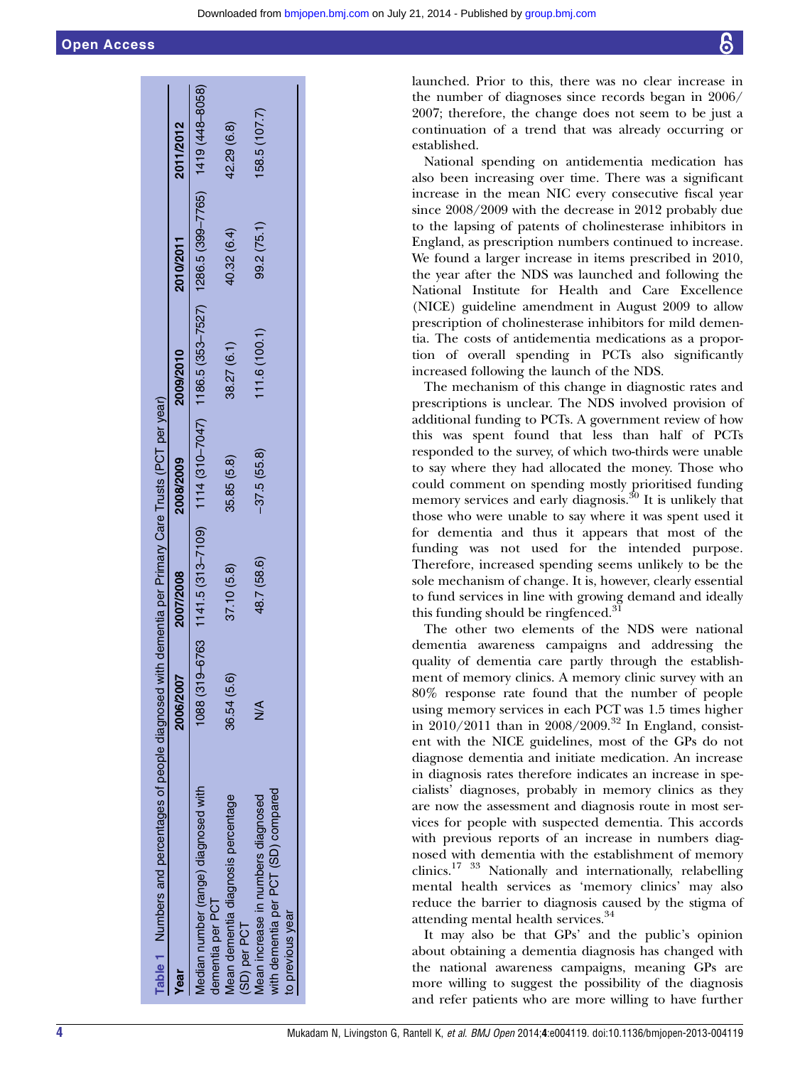# Open Access

| Table 1 Numbers and percentages of people diagnosed with dementia per Primary Care Trusts (PCT per year) |               |                                                                                                 |               |               |             |               |
|----------------------------------------------------------------------------------------------------------|---------------|-------------------------------------------------------------------------------------------------|---------------|---------------|-------------|---------------|
| Year                                                                                                     | 2006/2007     | 2007/2008                                                                                       | 2008/2009     | 2009/2010     | 2010/2011   | 2011/2012     |
| Median number (range) diagnosed with<br>dementia per PCT                                                 |               | 1088 (319-6763 1141.5 (313-7109) 1114 (310-7047) 1186.5 (353-7527) 1286.5 (399-7765) 1419-8058) |               |               |             |               |
| lean dementia diagnosis percentage<br>SD) per PCT                                                        | 36.54 (5.6    | 37.10 (5.8)                                                                                     | 35.85(5.8)    | 38.27 (6.1)   | 40.32 (6.4) | 42.29 (6.8)   |
| vith dementia per PCT (SD) compared<br>lean increase in numbers diagnosed<br>o previous year             | $\frac{4}{2}$ | 48.7 (58.6)                                                                                     | $-37.5(55.8)$ | 111.6 (100.1) | 99.2(75.1)  | 158.5 (107.7) |
|                                                                                                          |               |                                                                                                 |               |               |             |               |

launched. Prior to this, there was no clear increase in the number of diagnoses since records began in 2006/ 2007; therefore, the change does not seem to be just a continuation of a trend that was already occurring or established.

National spending on antidementia medication has also been increasing over time. There was a significant increase in the mean NIC every consecutive fiscal year since 2008/2009 with the decrease in 2012 probably due to the lapsing of patents of cholinesterase inhibitors in England, as prescription numbers continued to increase. We found a larger increase in items prescribed in 2010, the year after the NDS was launched and following the National Institute for Health and Care Excellence (NICE) guideline amendment in August 2009 to allow prescription of cholinesterase inhibitors for mild dementia. The costs of antidementia medications as a proportion of overall spending in PCTs also significantly increased following the launch of the NDS.

The mechanism of this change in diagnostic rates and prescriptions is unclear. The NDS involved provision of additional funding to PCTs. A government review of how this was spent found that less than half of PCTs responded to the survey, of which two-thirds were unable to say where they had allocated the money. Those who could comment on spending mostly prioritised funding memory services and early diagnosis.<sup>30</sup> It is unlikely that those who were unable to say where it was spent used it for dementia and thus it appears that most of the funding was not used for the intended purpose. Therefore, increased spending seems unlikely to be the sole mechanism of change. It is, however, clearly essential to fund services in line with growing demand and ideally this funding should be ringfenced.<sup>31</sup>

The other two elements of the NDS were national dementia awareness campaigns and addressing the quality of dementia care partly through the establishment of memory clinics. A memory clinic survey with an 80% response rate found that the number of people using memory services in each PCT was 1.5 times higher in  $2010/2011$  than in  $2008/2009$ .<sup>32</sup> In England, consistent with the NICE guidelines, most of the GPs do not diagnose dementia and initiate medication. An increase in diagnosis rates therefore indicates an increase in specialists' diagnoses, probably in memory clinics as they are now the assessment and diagnosis route in most services for people with suspected dementia. This accords with previous reports of an increase in numbers diagnosed with dementia with the establishment of memory clinics.17 33 Nationally and internationally, relabelling mental health services as 'memory clinics' may also reduce the barrier to diagnosis caused by the stigma of attending mental health services.<sup>34</sup>

It may also be that GPs' and the public's opinion about obtaining a dementia diagnosis has changed with the national awareness campaigns, meaning GPs are more willing to suggest the possibility of the diagnosis and refer patients who are more willing to have further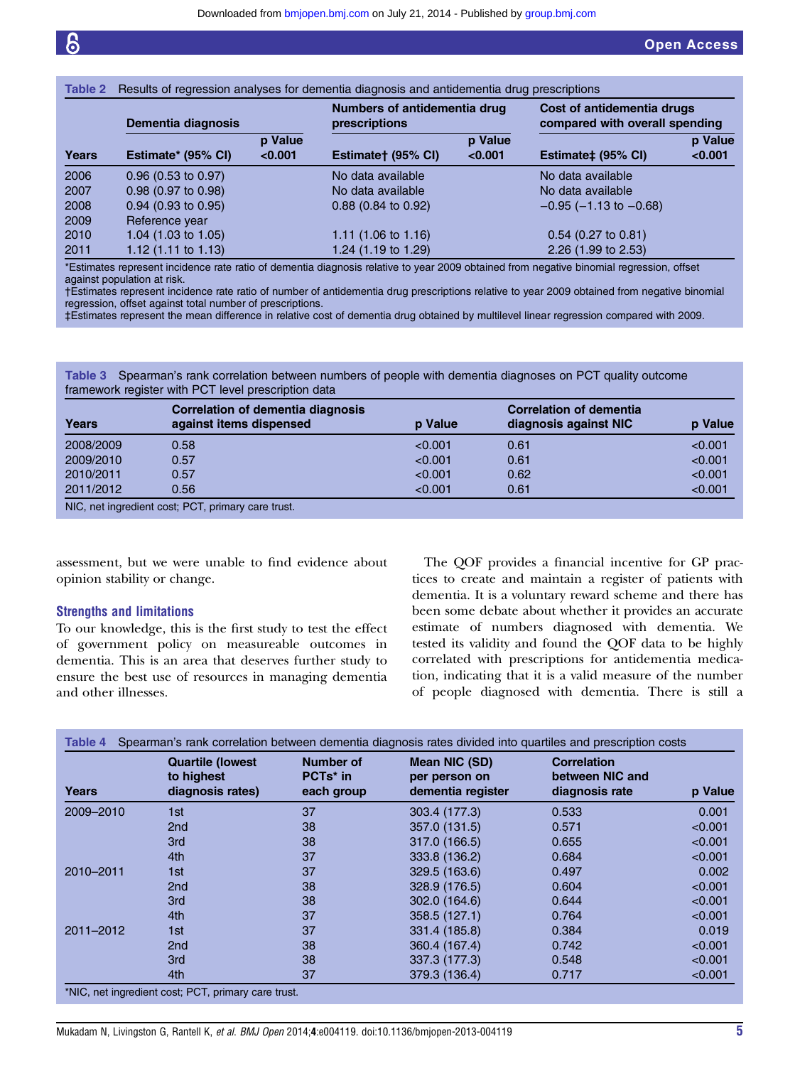| <b>Years</b> | Dementia diagnosis             |                    | Numbers of antidementia drug<br>prescriptions |                    | Cost of antidementia drugs<br>compared with overall spending |                    |
|--------------|--------------------------------|--------------------|-----------------------------------------------|--------------------|--------------------------------------------------------------|--------------------|
|              | Estimate* (95% CI)             | p Value<br>< 0.001 | Estimate† (95% CI)                            | p Value<br>< 0.001 | Estimate‡ (95% CI)                                           | p Value<br>< 0.001 |
| 2006         | $0.96$ (0.53 to 0.97)          |                    | No data available                             |                    | No data available                                            |                    |
| 2007         | $0.98$ (0.97 to 0.98)          |                    | No data available                             |                    | No data available                                            |                    |
| 2008         | $0.94$ (0.93 to 0.95)          |                    | $0.88$ (0.84 to 0.92)                         |                    | $-0.95$ ( $-1.13$ to $-0.68$ )                               |                    |
| 2009         | Reference year                 |                    |                                               |                    |                                                              |                    |
| 2010         | 1.04 $(1.03 \text{ to } 1.05)$ |                    | 1.11 $(1.06 \text{ to } 1.16)$                |                    | $0.54$ (0.27 to 0.81)                                        |                    |
| 2011         | 1.12 (1.11 to 1.13)            |                    | 1.24 $(1.19 \text{ to } 1.29)$                |                    | $2.26$ (1.99 to 2.53)                                        |                    |

\*Estimates represent incidence rate ratio of dementia diagnosis relative to year 2009 obtained from negative binomial regression, offset against population at risk.

†Estimates represent incidence rate ratio of number of antidementia drug prescriptions relative to year 2009 obtained from negative binomial regression, offset against total number of prescriptions.

‡Estimates represent the mean difference in relative cost of dementia drug obtained by multilevel linear regression compared with 2009.

Table 3 Spearman's rank correlation between numbers of people with dementia diagnoses on PCT quality outcome framework register with PCT level prescription data

| Years     | <b>Correlation of dementia diagnosis</b><br>against items dispensed  | p Value | <b>Correlation of dementia</b><br>diagnosis against NIC | p Value |
|-----------|----------------------------------------------------------------------|---------|---------------------------------------------------------|---------|
| 2008/2009 | 0.58                                                                 | < 0.001 | 0.61                                                    | < 0.001 |
| 2009/2010 | 0.57                                                                 | < 0.001 | 0.61                                                    | < 0.001 |
| 2010/2011 | 0.57                                                                 | < 0.001 | 0.62                                                    | < 0.001 |
| 2011/2012 | 0.56                                                                 | < 0.001 | 0.61                                                    | < 0.001 |
|           | $NIO$ $A$ is a set of set of $A$ . $DOT$ is simple and $A$ such that |         |                                                         |         |

NIC, net ingredient cost; PCT, primary care trust.

assessment, but we were unable to find evidence about opinion stability or change.

# Strengths and limitations

To our knowledge, this is the first study to test the effect of government policy on measureable outcomes in dementia. This is an area that deserves further study to ensure the best use of resources in managing dementia and other illnesses.

The QOF provides a financial incentive for GP practices to create and maintain a register of patients with dementia. It is a voluntary reward scheme and there has been some debate about whether it provides an accurate estimate of numbers diagnosed with dementia. We tested its validity and found the QOF data to be highly correlated with prescriptions for antidementia medication, indicating that it is a valid measure of the number of people diagnosed with dementia. There is still a

| Years     | <b>Quartile (lowest</b><br>to highest<br>diagnosis rates) | <b>Number of</b><br>PCTs <sup>*</sup> in<br>each group | Mean NIC (SD)<br>per person on<br>dementia register | <b>Correlation</b><br>between NIC and<br>diagnosis rate | p Value |
|-----------|-----------------------------------------------------------|--------------------------------------------------------|-----------------------------------------------------|---------------------------------------------------------|---------|
| 2009-2010 | 1st                                                       | 37                                                     | 303.4 (177.3)                                       | 0.533                                                   | 0.001   |
|           | 2 <sub>nd</sub>                                           | 38                                                     | 357.0 (131.5)                                       | 0.571                                                   | < 0.001 |
|           | 3rd                                                       | 38                                                     | 317.0 (166.5)                                       | 0.655                                                   | < 0.001 |
|           | 4th                                                       | 37                                                     | 333.8 (136.2)                                       | 0.684                                                   | < 0.001 |
| 2010-2011 | 1st                                                       | 37                                                     | 329.5 (163.6)                                       | 0.497                                                   | 0.002   |
|           | 2 <sub>nd</sub>                                           | 38                                                     | 328.9 (176.5)                                       | 0.604                                                   | < 0.001 |
|           | 3rd                                                       | 38                                                     | 302.0 (164.6)                                       | 0.644                                                   | < 0.001 |
|           | 4th                                                       | 37                                                     | 358.5 (127.1)                                       | 0.764                                                   | < 0.001 |
| 2011-2012 | 1st                                                       | 37                                                     | 331.4 (185.8)                                       | 0.384                                                   | 0.019   |
|           | 2 <sub>nd</sub>                                           | 38                                                     | 360.4 (167.4)                                       | 0.742                                                   | < 0.001 |
|           | 3rd                                                       | 38                                                     | 337.3 (177.3)                                       | 0.548                                                   | < 0.001 |
|           | 4th                                                       | 37                                                     | 379.3 (136.4)                                       | 0.717                                                   | < 0.001 |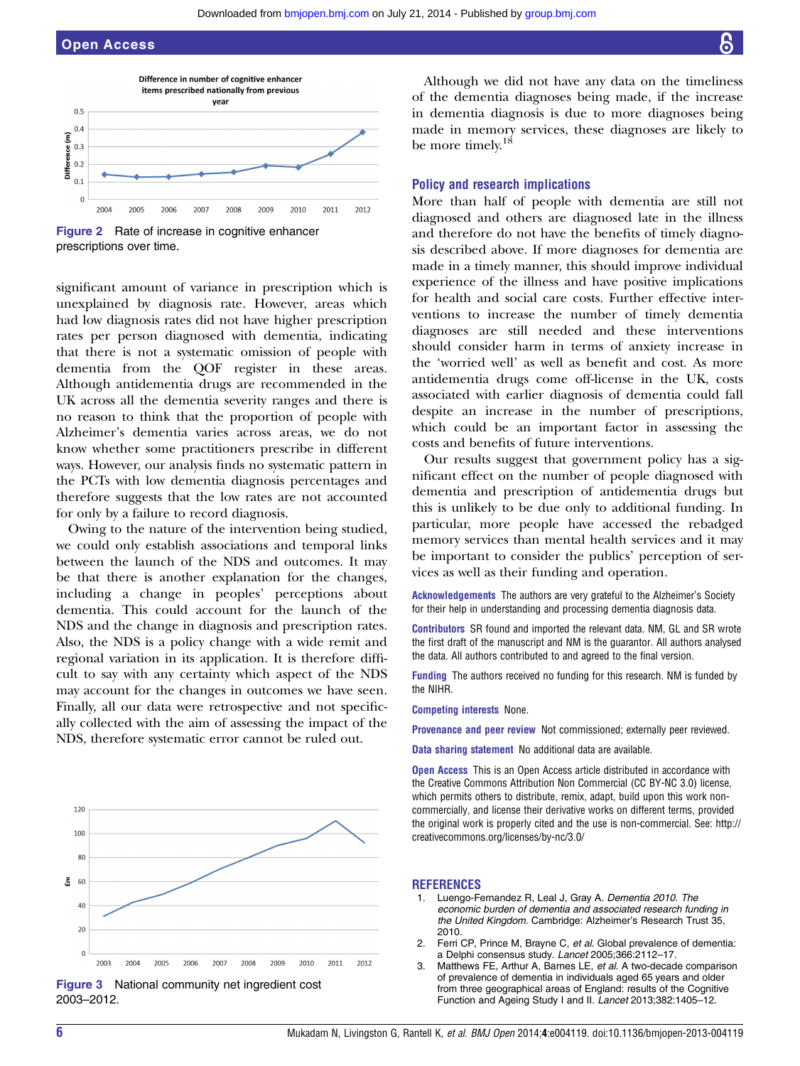Open Access



Figure 2 Rate of increase in cognitive enhancer prescriptions over time.

significant amount of variance in prescription which is unexplained by diagnosis rate. However, areas which had low diagnosis rates did not have higher prescription rates per person diagnosed with dementia, indicating that there is not a systematic omission of people with dementia from the QOF register in these areas. Although antidementia drugs are recommended in the UK across all the dementia severity ranges and there is no reason to think that the proportion of people with Alzheimer's dementia varies across areas, we do not know whether some practitioners prescribe in different ways. However, our analysis finds no systematic pattern in the PCTs with low dementia diagnosis percentages and therefore suggests that the low rates are not accounted for only by a failure to record diagnosis.

Owing to the nature of the intervention being studied, we could only establish associations and temporal links between the launch of the NDS and outcomes. It may be that there is another explanation for the changes, including a change in peoples' perceptions about dementia. This could account for the launch of the NDS and the change in diagnosis and prescription rates. Also, the NDS is a policy change with a wide remit and regional variation in its application. It is therefore difficult to say with any certainty which aspect of the NDS may account for the changes in outcomes we have seen. Finally, all our data were retrospective and not specifically collected with the aim of assessing the impact of the NDS, therefore systematic error cannot be ruled out.



Figure 3 National community net ingredient cost 2003–2012.

Although we did not have any data on the timeliness of the dementia diagnoses being made, if the increase in dementia diagnosis is due to more diagnoses being made in memory services, these diagnoses are likely to be more timely.<sup>18</sup>

#### Policy and research implications

More than half of people with dementia are still not diagnosed and others are diagnosed late in the illness and therefore do not have the benefits of timely diagnosis described above. If more diagnoses for dementia are made in a timely manner, this should improve individual experience of the illness and have positive implications for health and social care costs. Further effective interventions to increase the number of timely dementia diagnoses are still needed and these interventions should consider harm in terms of anxiety increase in the 'worried well' as well as benefit and cost. As more antidementia drugs come off-license in the UK, costs associated with earlier diagnosis of dementia could fall despite an increase in the number of prescriptions, which could be an important factor in assessing the costs and benefits of future interventions.

Our results suggest that government policy has a significant effect on the number of people diagnosed with dementia and prescription of antidementia drugs but this is unlikely to be due only to additional funding. In particular, more people have accessed the rebadged memory services than mental health services and it may be important to consider the publics' perception of services as well as their funding and operation.

Acknowledgements The authors are very grateful to the Alzheimer's Society for their help in understanding and processing dementia diagnosis data.

Contributors SR found and imported the relevant data. NM, GL and SR wrote the first draft of the manuscript and NM is the guarantor. All authors analysed the data. All authors contributed to and agreed to the final version.

Funding The authors received no funding for this research. NM is funded by the NIHR.

Competing interests None.

Provenance and peer review Not commissioned; externally peer reviewed.

Data sharing statement No additional data are available.

Open Access This is an Open Access article distributed in accordance with the Creative Commons Attribution Non Commercial (CC BY-NC 3.0) license, which permits others to distribute, remix, adapt, build upon this work noncommercially, and license their derivative works on different terms, provided the original work is properly cited and the use is non-commercial. See: [http://](http://creativecommons.org/licenses/by-nc/3.0/) [creativecommons.org/licenses/by-nc/3.0/](http://creativecommons.org/licenses/by-nc/3.0/)

#### **REFERENCES**

- Luengo-Fernandez R, Leal J, Gray A. Dementia 2010. The economic burden of dementia and associated research funding in the United Kingdom. Cambridge: Alzheimer's Research Trust 35, 2010.
- 2. Ferri CP, Prince M, Brayne C, et al. Global prevalence of dementia: a Delphi consensus study. Lancet 2005;366:2112–17.
- 3. Matthews FE, Arthur A, Barnes LE, et al. A two-decade comparison of prevalence of dementia in individuals aged 65 years and older from three geographical areas of England: results of the Cognitive Function and Ageing Study I and II. Lancet 2013;382:1405–12.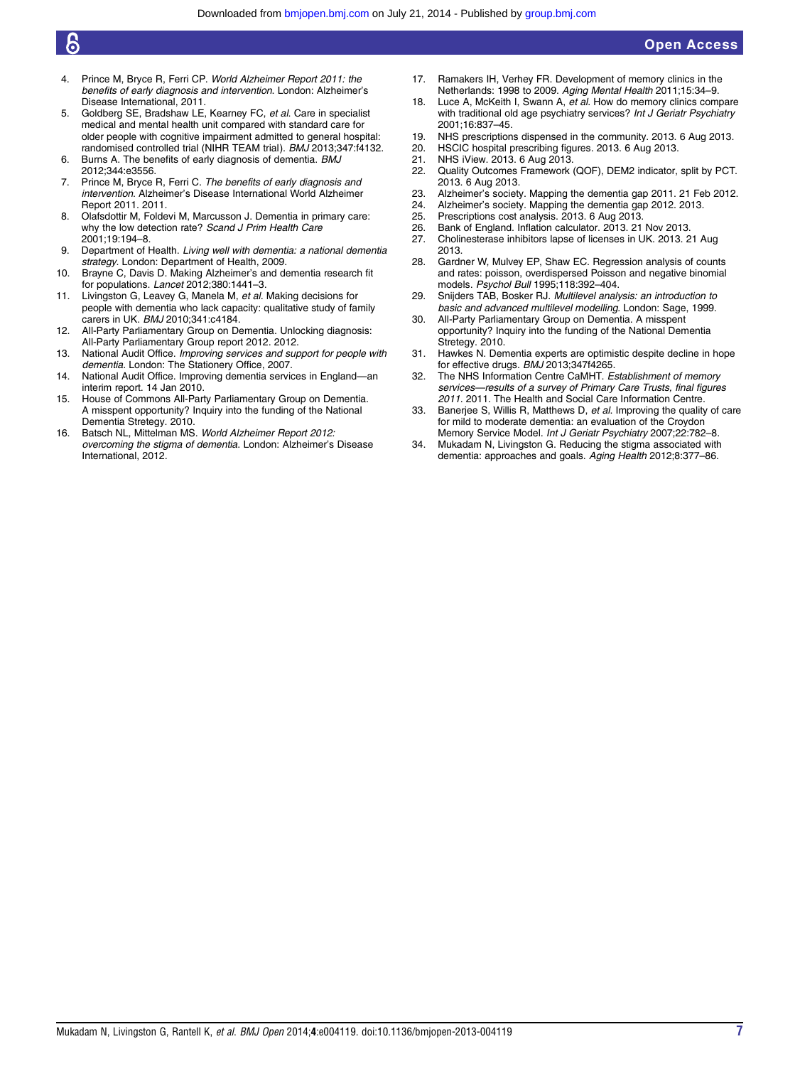- 4. Prince M, Bryce R, Ferri CP. World Alzheimer Report 2011: the benefits of early diagnosis and intervention. London: Alzheimer's Disease International, 2011.
- 5. Goldberg SE, Bradshaw LE, Kearney FC, et al. Care in specialist medical and mental health unit compared with standard care for older people with cognitive impairment admitted to general hospital: randomised controlled trial (NIHR TEAM trial). BMJ 2013;347:f4132.
- 6. Burns A. The benefits of early diagnosis of dementia. BMJ 2012;344:e3556.
- 7. Prince M, Bryce R, Ferri C. The benefits of early diagnosis and intervention. Alzheimer's Disease International World Alzheimer Report 2011. 2011.
- 8. Olafsdottir M, Foldevi M, Marcusson J. Dementia in primary care: why the low detection rate? Scand J Prim Health Care  $2001 \cdot 19 \cdot 194 - 8$
- 9. Department of Health. Living well with dementia: a national dementia strategy. London: Department of Health, 2009.
- 10. Brayne C, Davis D. Making Alzheimer's and dementia research fit for populations. Lancet 2012;380:1441–3.
- 11. Livingston G, Leavey G, Manela M, et al. Making decisions for people with dementia who lack capacity: qualitative study of family carers in UK. BMJ 2010;341:c4184.
- 12. All-Party Parliamentary Group on Dementia. Unlocking diagnosis: All-Party Parliamentary Group report 2012. 2012.
- 13. National Audit Office. Improving services and support for people with dementia. London: The Stationery Office, 2007.
- 14. National Audit Office. Improving dementia services in England—an interim report. 14 Jan 2010.
- 15. House of Commons All-Party Parliamentary Group on Dementia. A misspent opportunity? Inquiry into the funding of the National Dementia Stretegy. 2010.
- 16. Batsch NL, Mittelman MS. World Alzheimer Report 2012: overcoming the stigma of dementia. London: Alzheimer's Disease International, 2012.
- 17. Ramakers IH, Verhey FR. Development of memory clinics in the Netherlands: 1998 to 2009. Aging Mental Health 2011;15:34–9.
- 18. Luce A, McKeith I, Swann A, et al. How do memory clinics compare with traditional old age psychiatry services? Int J Geriatr Psychiatry 2001;16:837–45.
- 19. NHS prescriptions dispensed in the community. 2013. 6 Aug 2013.<br>20. HSCIC hospital prescribing figures. 2013. 6 Aug 2013.
- 20. HSCIC hospital prescribing figures. 2013. 6 Aug 2013.
- 21. NHS iView. 2013. 6 Aug 2013.<br>22. Ouality Outcomes Framework
- Quality Outcomes Framework (QOF), DEM2 indicator, split by PCT. 2013. 6 Aug 2013.
- 23. Alzheimer's society. Mapping the dementia gap 2011. 21 Feb 2012.<br>24. Alzheimer's society. Mapping the dementia gap 2012. 2013.
- 24. Alzheimer's society. Mapping the dementia gap 2012. 2013.<br>25. Prescriptions cost analysis 2013. 6 Aug 2013.
- 25. Prescriptions cost analysis. 2013. 6 Aug 2013.
- 26. Bank of England. Inflation calculator. 2013. 21 Nov 2013.<br>27. Cholinesterase inhibitors lanse of licenses in LIK 2013.
- 27. Cholinesterase inhibitors lapse of licenses in UK. 2013. 21 Aug 2013.
- 28. Gardner W, Mulvey EP, Shaw EC. Regression analysis of counts and rates: poisson, overdispersed Poisson and negative binomial models. Psychol Bull 1995;118:392–404.
- 29. Snijders TAB, Bosker RJ. Multilevel analysis: an introduction to basic and advanced multilevel modelling. London: Sage, 1999.
- 30. All-Party Parliamentary Group on Dementia. A misspent opportunity? Inquiry into the funding of the National Dementia Stretegy. 2010.
- 31. Hawkes N. Dementia experts are optimistic despite decline in hope for effective drugs. BMJ 2013;347f4265.
- 32. The NHS Information Centre CaMHT. Establishment of memory services—results of a survey of Primary Care Trusts, final figures 2011. 2011. The Health and Social Care Information Centre.
- 33. Banerjee S, Willis R, Matthews D, et al. Improving the quality of care for mild to moderate dementia: an evaluation of the Croydon Memory Service Model. Int J Geriatr Psychiatry 2007;22:782–8.
- 34. Mukadam N, Livingston G. Reducing the stigma associated with dementia: approaches and goals. Aging Health 2012;8:377–86.